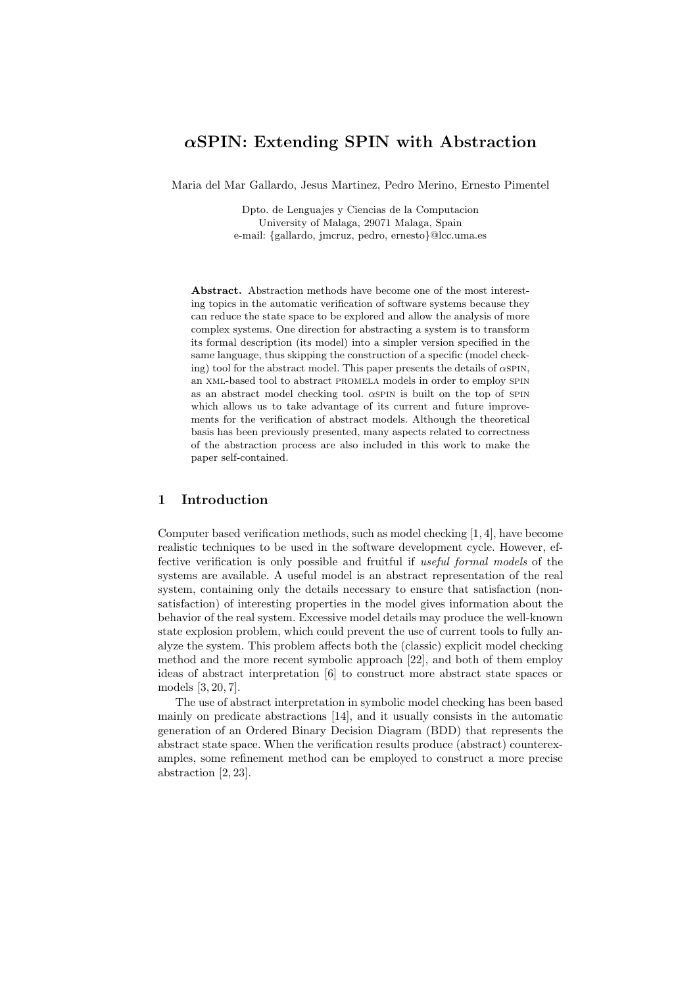# *α***SPIN: Extending SPIN with Abstraction**

Maria del Mar Gallardo, Jesus Martinez, Pedro Merino, Ernesto Pimentel

Dpto. de Lenguajes y Ciencias de la Computacion University of Malaga, 29071 Malaga, Spain e-mail: {gallardo, jmcruz, pedro, ernesto}@lcc.uma.es

**Abstract.** Abstraction methods have become one of the most interesting topics in the automatic verification of software systems because they can reduce the state space to be explored and allow the analysis of more complex systems. One direction for abstracting a system is to transform its formal description (its model) into a simpler version specified in the same language, thus skipping the construction of a specific (model checking) tool for the abstract model. This paper presents the details of  $\alpha$ SPIN, an xml-based tool to abstract promela models in order to employ spin as an abstract model checking tool.  $\alpha$ SPIN is built on the top of SPIN which allows us to take advantage of its current and future improvements for the verification of abstract models. Although the theoretical basis has been previously presented, many aspects related to correctness of the abstraction process are also included in this work to make the paper self-contained.

# **1 Introduction**

Computer based verification methods, such as model checking [1, 4], have become realistic techniques to be used in the software development cycle. However, effective verification is only possible and fruitful if *useful formal models* of the systems are available. A useful model is an abstract representation of the real system, containing only the details necessary to ensure that satisfaction (nonsatisfaction) of interesting properties in the model gives information about the behavior of the real system. Excessive model details may produce the well-known state explosion problem, which could prevent the use of current tools to fully analyze the system. This problem affects both the (classic) explicit model checking method and the more recent symbolic approach [22], and both of them employ ideas of abstract interpretation  $[6]$  to construct more abstract state spaces or models [3, 20, 7].

The use of abstract interpretation in symbolic model checking has been based mainly on predicate abstractions [14], and it usually consists in the automatic generation of an Ordered Binary Decision Diagram (BDD) that represents the abstract state space. When the verification results produce (abstract) counterexamples, some refinement method can be employed to construct a more precise abstraction [2, 23].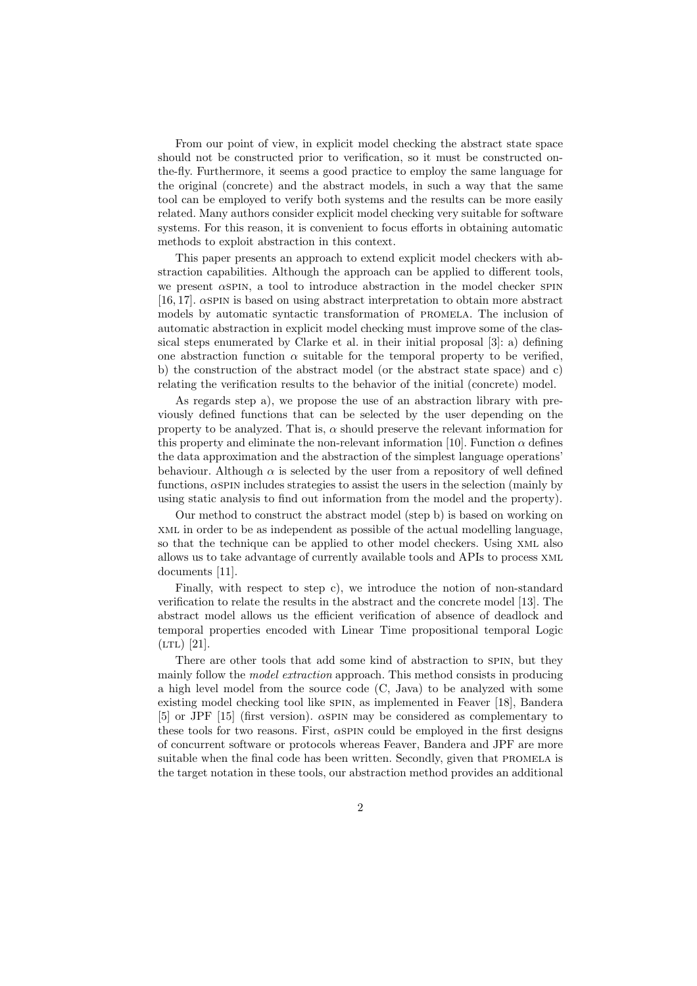From our point of view, in explicit model checking the abstract state space should not be constructed prior to verification, so it must be constructed onthe-fly. Furthermore, it seems a good practice to employ the same language for the original (concrete) and the abstract models, in such a way that the same tool can be employed to verify both systems and the results can be more easily related. Many authors consider explicit model checking very suitable for software systems. For this reason, it is convenient to focus efforts in obtaining automatic methods to exploit abstraction in this context.

This paper presents an approach to extend explicit model checkers with abstraction capabilities. Although the approach can be applied to different tools, we present  $\alpha$  spin, a tool to introduce abstraction in the model checker spin [16, 17].  $\alpha$ SPIN is based on using abstract interpretation to obtain more abstract models by automatic syntactic transformation of promela. The inclusion of automatic abstraction in explicit model checking must improve some of the classical steps enumerated by Clarke et al. in their initial proposal [3]: a) defining one abstraction function  $\alpha$  suitable for the temporal property to be verified, b) the construction of the abstract model (or the abstract state space) and c) relating the verification results to the behavior of the initial (concrete) model.

As regards step a), we propose the use of an abstraction library with previously defined functions that can be selected by the user depending on the property to be analyzed. That is,  $\alpha$  should preserve the relevant information for this property and eliminate the non-relevant information [10]. Function  $\alpha$  defines the data approximation and the abstraction of the simplest language operations' behaviour. Although  $\alpha$  is selected by the user from a repository of well defined functions,  $\alpha$ SPIN includes strategies to assist the users in the selection (mainly by using static analysis to find out information from the model and the property).

Our method to construct the abstract model (step b) is based on working on xml in order to be as independent as possible of the actual modelling language, so that the technique can be applied to other model checkers. Using xml also allows us to take advantage of currently available tools and APIs to process xml documents [11].

Finally, with respect to step c), we introduce the notion of non-standard verification to relate the results in the abstract and the concrete model [13]. The abstract model allows us the efficient verification of absence of deadlock and temporal properties encoded with Linear Time propositional temporal Logic  $(LTL)$  [21].

There are other tools that add some kind of abstraction to spin, but they mainly follow the *model extraction* approach. This method consists in producing a high level model from the source code (C, Java) to be analyzed with some existing model checking tool like spin, as implemented in Feaver [18], Bandera [5] or JPF [15] (first version).  $\alpha$ SPIN may be considered as complementary to these tools for two reasons. First,  $\alpha$ SPIN could be employed in the first designs of concurrent software or protocols whereas Feaver, Bandera and JPF are more suitable when the final code has been written. Secondly, given that PROMELA is the target notation in these tools, our abstraction method provides an additional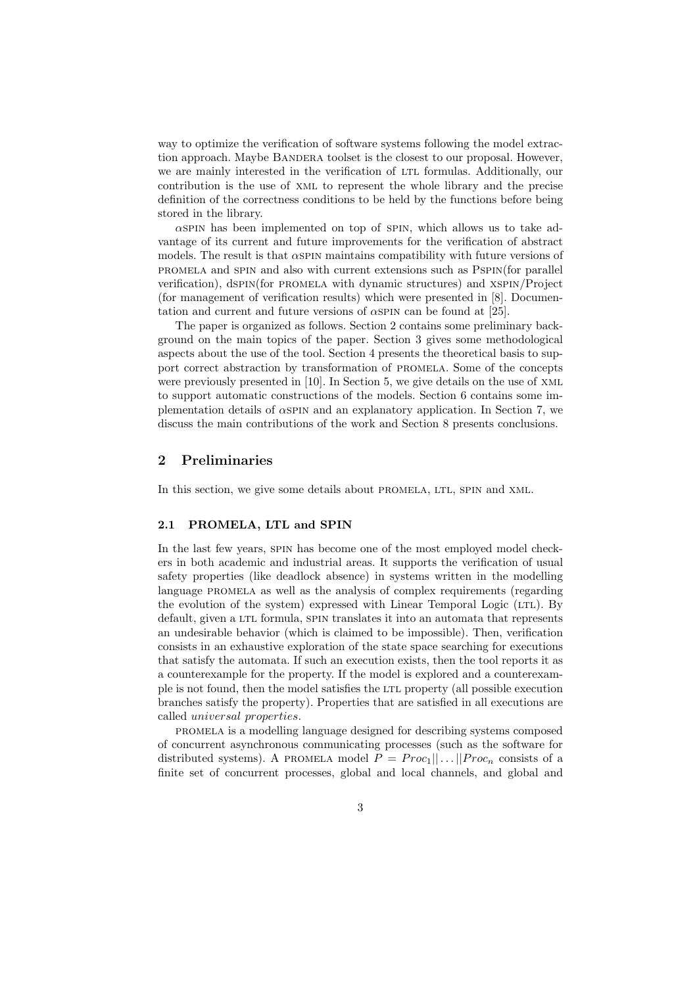way to optimize the verification of software systems following the model extraction approach. Maybe BANDERA toolset is the closest to our proposal. However, we are mainly interested in the verification of LTL formulas. Additionally, our contribution is the use of xml to represent the whole library and the precise definition of the correctness conditions to be held by the functions before being stored in the library.

 $\alpha$ SPIN has been implemented on top of SPIN, which allows us to take advantage of its current and future improvements for the verification of abstract models. The result is that  $\alpha$  spin maintains compatibility with future versions of promela and spin and also with current extensions such as Pspin(for parallel verification), dspin(for promela with dynamic structures) and xspin/Project (for management of verification results) which were presented in [8]. Documentation and current and future versions of  $\alpha$ SPIN can be found at [25].

The paper is organized as follows. Section 2 contains some preliminary background on the main topics of the paper. Section 3 gives some methodological aspects about the use of the tool. Section 4 presents the theoretical basis to support correct abstraction by transformation of promela. Some of the concepts were previously presented in [10]. In Section 5, we give details on the use of XML to support automatic constructions of the models. Section 6 contains some implementation details of  $\alpha$ SPIN and an explanatory application. In Section 7, we discuss the main contributions of the work and Section 8 presents conclusions.

# **2 Preliminaries**

In this section, we give some details about PROMELA, LTL, SPIN and XML.

#### **2.1 PROMELA, LTL and SPIN**

In the last few years, spin has become one of the most employed model checkers in both academic and industrial areas. It supports the verification of usual safety properties (like deadlock absence) in systems written in the modelling language PROMELA as well as the analysis of complex requirements (regarding the evolution of the system) expressed with Linear Temporal Logic (LTL). By default, given a LTL formula, SPIN translates it into an automata that represents an undesirable behavior (which is claimed to be impossible). Then, verification consists in an exhaustive exploration of the state space searching for executions that satisfy the automata. If such an execution exists, then the tool reports it as a counterexample for the property. If the model is explored and a counterexample is not found, then the model satisfies the LTL property (all possible execution branches satisfy the property). Properties that are satisfied in all executions are called universal properties.

promela is a modelling language designed for describing systems composed of concurrent asynchronous communicating processes (such as the software for distributed systems). A PROMELA model  $P = Proc_1|| \dots || Proc_n$  consists of a finite set of concurrent processes, global and local channels, and global and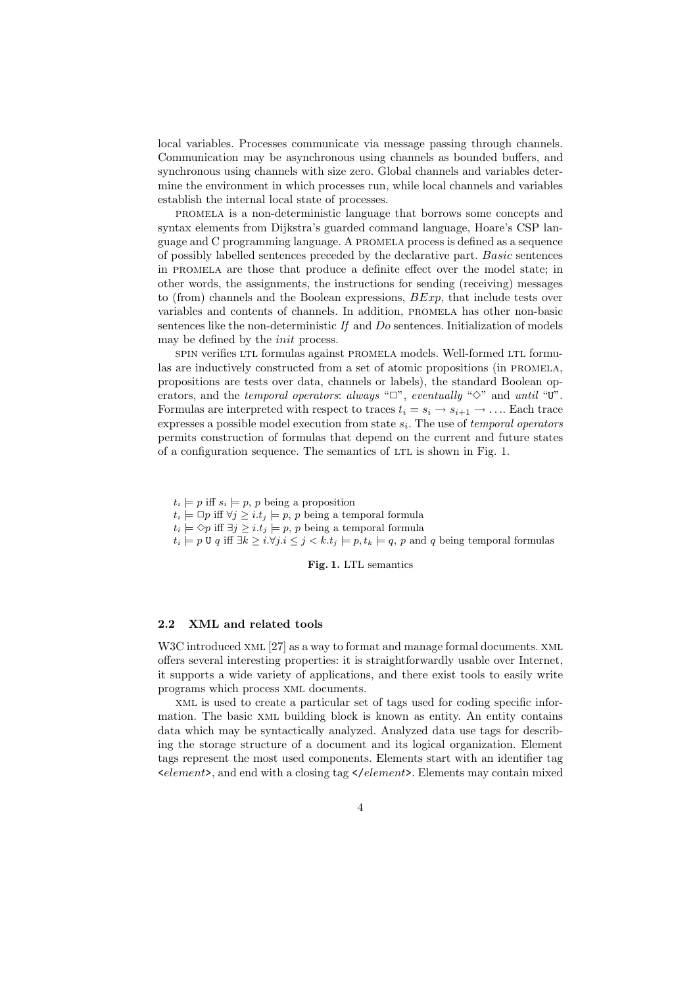local variables. Processes communicate via message passing through channels. Communication may be asynchronous using channels as bounded buffers, and synchronous using channels with size zero. Global channels and variables determine the environment in which processes run, while local channels and variables establish the internal local state of processes.

promela is a non-deterministic language that borrows some concepts and syntax elements from Dijkstra's guarded command language, Hoare's CSP language and C programming language. A promela process is defined as a sequence of possibly labelled sentences preceded by the declarative part. Basic sentences in promela are those that produce a definite effect over the model state; in other words, the assignments, the instructions for sending (receiving) messages to (from) channels and the Boolean expressions,  $BExp$ , that include tests over variables and contents of channels. In addition, promela has other non-basic sentences like the non-deterministic *If* and Do sentences. Initialization of models may be defined by the *init* process.

spin verifies LTL formulas against PROMELA models. Well-formed LTL formulas are inductively constructed from a set of atomic propositions (in promela, propositions are tests over data, channels or labels), the standard Boolean operators, and the *temporal operators*: *always* "□", *eventually* "◇" and *until* "U". Formulas are interpreted with respect to traces  $t_i = s_i \rightarrow s_{i+1} \rightarrow \dots$  Each trace expresses a possible model execution from state  $s_i$ . The use of *temporal operators* permits construction of formulas that depend on the current and future states of a configuration sequence. The semantics of LTL is shown in Fig. 1.

 $t_i \models p$  iff  $s_i \models p$ , p being a proposition

 $t_i \models \Box p$  iff  $\forall j \geq i.t_j \models p, p$  being a temporal formula

 $t_i \models \Diamond p$  iff  $\exists j \geq i.t_j \models p, p$  being a temporal formula

 $t_i \models p \,\mathsf{U} \, q \text{ iff } \exists k \geq i.\forall j.i \leq j < k.t_j \models p, t_k \models q, p \text{ and } q \text{ being temporal formulas}$ 

**Fig. 1.** LTL semantics

#### **2.2 XML and related tools**

W3C introduced XML [27] as a way to format and manage formal documents. XML offers several interesting properties: it is straightforwardly usable over Internet, it supports a wide variety of applications, and there exist tools to easily write programs which process xml documents.

xml is used to create a particular set of tags used for coding specific information. The basic xml building block is known as entity. An entity contains data which may be syntactically analyzed. Analyzed data use tags for describing the storage structure of a document and its logical organization. Element tags represent the most used components. Elements start with an identifier tag  $\leq$ element $\geq$ , and end with a closing tag  $\leq$ /element $\geq$ . Elements may contain mixed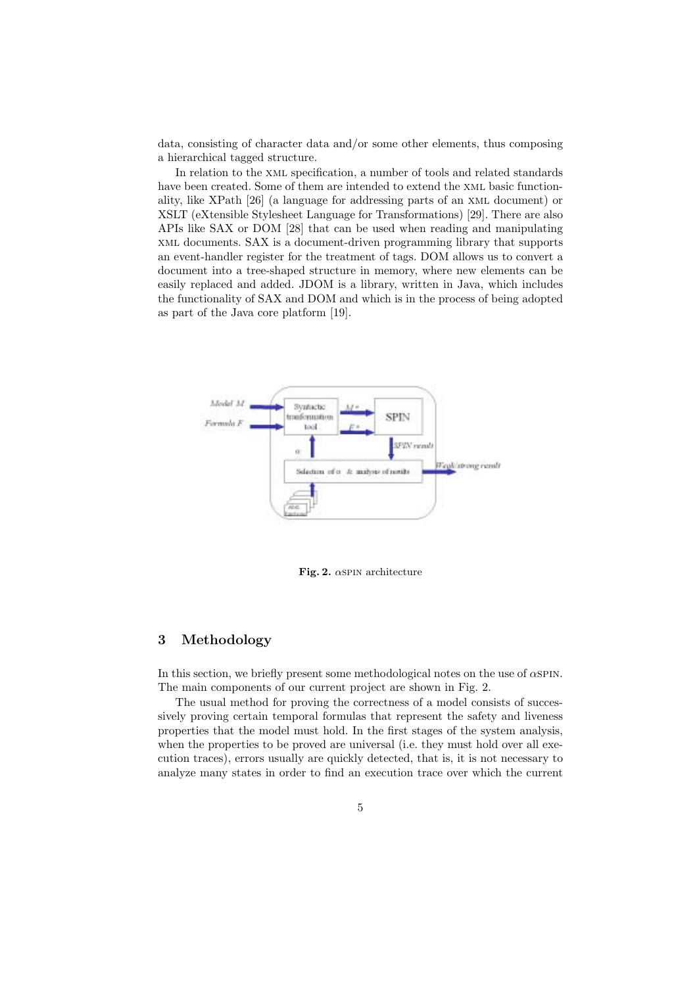data, consisting of character data and/or some other elements, thus composing a hierarchical tagged structure.

In relation to the xml specification, a number of tools and related standards have been created. Some of them are intended to extend the xml basic functionality, like XPath [26](a language for addressing parts of an xml document) or XSLT (eXtensible Stylesheet Language for Transformations) [29]. There are also APIs like SAX or DOM [28] that can be used when reading and manipulating xml documents. SAX is a document-driven programming library that supports an event-handler register for the treatment of tags. DOM allows us to convert a document into a tree-shaped structure in memory, where new elements can be easily replaced and added. JDOM is a library, written in Java, which includes the functionality of SAX and DOM and which is in the process of being adopted as part of the Java core platform [19].



**Fig. 2.** <sup>α</sup>spin architecture

# **3 Methodology**

In this section, we briefly present some methodological notes on the use of  $\alpha$ SPIN. The main components of our current project are shown in Fig. 2.

The usual method for proving the correctness of a model consists of successively proving certain temporal formulas that represent the safety and liveness properties that the model must hold. In the first stages of the system analysis, when the properties to be proved are universal (i.e. they must hold over all execution traces), errors usually are quickly detected, that is, it is not necessary to analyze many states in order to find an execution trace over which the current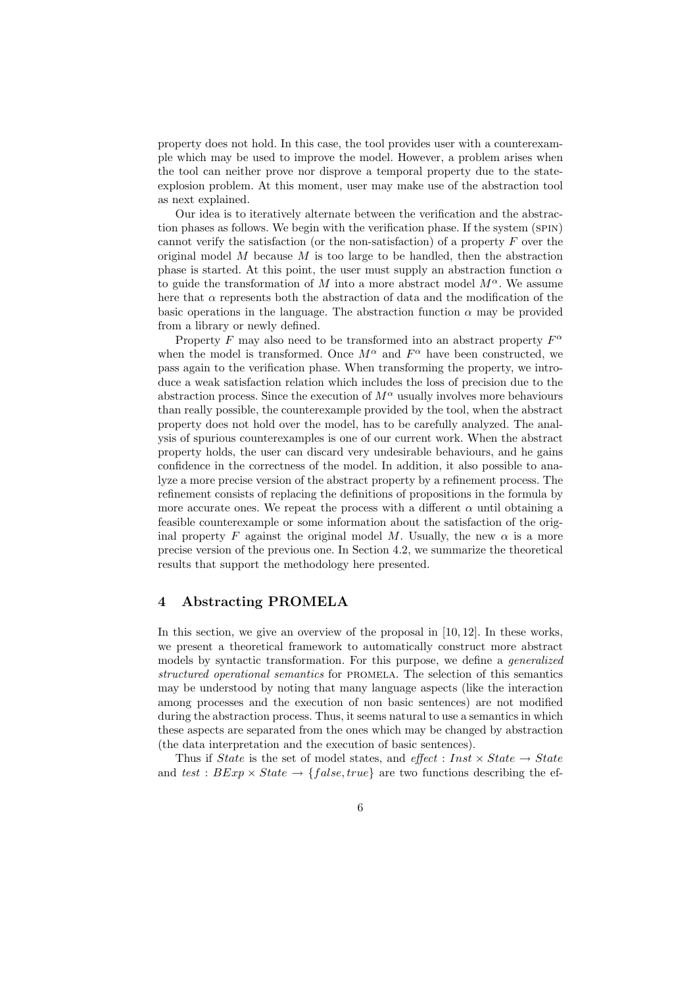property does not hold. In this case, the tool provides user with a counterexample which may be used to improve the model. However, a problem arises when the tool can neither prove nor disprove a temporal property due to the stateexplosion problem. At this moment, user may make use of the abstraction tool as next explained.

Our idea is to iteratively alternate between the verification and the abstraction phases as follows. We begin with the verification phase. If the system (SPIN) cannot verify the satisfaction (or the non-satisfaction) of a property  $F$  over the original model  $M$  because  $M$  is too large to be handled, then the abstraction phase is started. At this point, the user must supply an abstraction function  $\alpha$ to guide the transformation of M into a more abstract model  $M^{\alpha}$ . We assume here that  $\alpha$  represents both the abstraction of data and the modification of the basic operations in the language. The abstraction function  $\alpha$  may be provided from a library or newly defined.

Property F may also need to be transformed into an abstract property  $F^{\alpha}$ when the model is transformed. Once  $M^{\alpha}$  and  $F^{\alpha}$  have been constructed, we pass again to the verification phase. When transforming the property, we introduce a weak satisfaction relation which includes the loss of precision due to the abstraction process. Since the execution of  $M^{\alpha}$  usually involves more behaviours than really possible, the counterexample provided by the tool, when the abstract property does not hold over the model, has to be carefully analyzed. The analysis of spurious counterexamples is one of our current work. When the abstract property holds, the user can discard very undesirable behaviours, and he gains confidence in the correctness of the model. In addition, it also possible to analyze a more precise version of the abstract property by a refinement process. The refinement consists of replacing the definitions of propositions in the formula by more accurate ones. We repeat the process with a different  $\alpha$  until obtaining a feasible counterexample or some information about the satisfaction of the original property F against the original model M. Usually, the new  $\alpha$  is a more precise version of the previous one. In Section 4.2, we summarize the theoretical results that support the methodology here presented.

# **4 Abstracting PROMELA**

In this section, we give an overview of the proposal in [10, 12]. In these works, we present a theoretical framework to automatically construct more abstract models by syntactic transformation. For this purpose, we define a *generalized structured operational semantics* for promela. The selection of this semantics may be understood by noting that many language aspects (like the interaction among processes and the execution of non basic sentences) are not modified during the abstraction process. Thus, it seems natural to use a semantics in which these aspects are separated from the ones which may be changed by abstraction (the data interpretation and the execution of basic sentences).

Thus if State is the set of model states, and  $effect$  : Inst  $\times State \rightarrow State$ and *test* :  $BExp \times State \rightarrow \{false, true\}$  are two functions describing the ef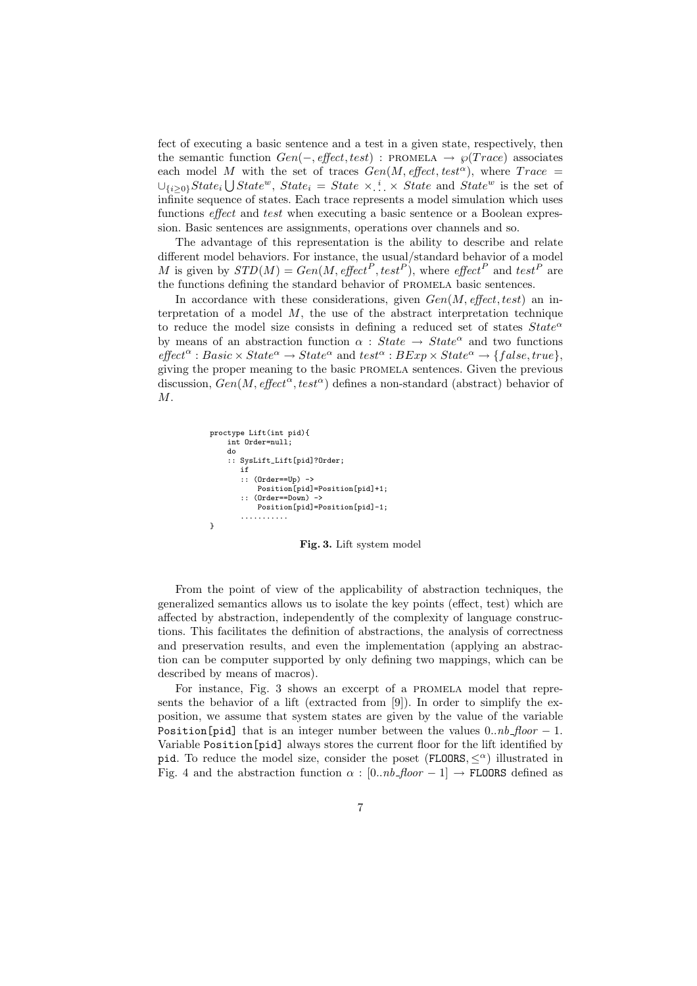fect of executing a basic sentence and a test in a given state, respectively, then the semantic function  $Gen(-, effect, test)$ : PROMELA  $\rightarrow \wp (Trace)$  associates each model M with the set of traces  $Gen(M, effect, test^{\alpha})$ , where  $Trace =$  $\cup_{\{i\geq 0\}} State_i \bigcup State^w$ ,  $State_i = State \times \dots \times State$  and  $State^w$  is the set of infinite sequence of states. Each trace represents a model simulation which uses functions *effect* and *test* when executing a basic sentence or a Boolean expression. Basic sentences are assignments, operations over channels and so.

The advantage of this representation is the ability to describe and relate different model behaviors. For instance, the usual/standard behavior of a model M is given by  $STD(M) = Gen(M, effect^P, test^P)$ , where  $effect^P$  and  $test^P$  are the functions defining the standard behavior of promela basic sentences.

In accordance with these considerations, given Gen(M, *effect*, test) an interpretation of a model  $M$ , the use of the abstract interpretation technique to reduce the model size consists in defining a reduced set of states  $State^{\alpha}$ by means of an abstraction function  $\alpha$ : State  $\rightarrow$  State<sup> $\alpha$ </sup> and two functions  $effect^{\alpha}: Basic \times State^{\alpha} \rightarrow State^{\alpha}$  and  $test^{\alpha}: BExp \times State^{\alpha} \rightarrow \{false, true\},$ giving the proper meaning to the basic promela sentences. Given the previous discussion,  $Gen(M, effect^{\alpha}, test^{\alpha})$  defines a non-standard (abstract) behavior of M.

```
proctype Lift(int pid){
    int Order=null;
    do
    :: SysLift_Lift[pid]?Order;
       if
:: (Order==Up) ->
           Position[pid]=Position[pid]+1;
       :: (Order==Down) ->
           Position[pid]=Position[pid]-1;
       ...........
```
}

**Fig. 3.** Lift system model

From the point of view of the applicability of abstraction techniques, the generalized semantics allows us to isolate the key points (effect, test) which are affected by abstraction, independently of the complexity of language constructions. This facilitates the definition of abstractions, the analysis of correctness and preservation results, and even the implementation (applying an abstraction can be computer supported by only defining two mappings, which can be described by means of macros).

For instance, Fig. 3 shows an excerpt of a promela model that represents the behavior of a lift (extracted from [9]). In order to simplify the exposition, we assume that system states are given by the value of the variable Position[pid] that is an integer number between the values  $0..nb$  *floor* − 1. Variable Position[pid] always stores the current floor for the lift identified by pid. To reduce the model size, consider the poset (FLOORS,  $\langle \alpha \rangle$ ) illustrated in Fig. 4 and the abstraction function  $\alpha$ :  $[0..nb$  *floor* – 1]  $\rightarrow$  FLOORS defined as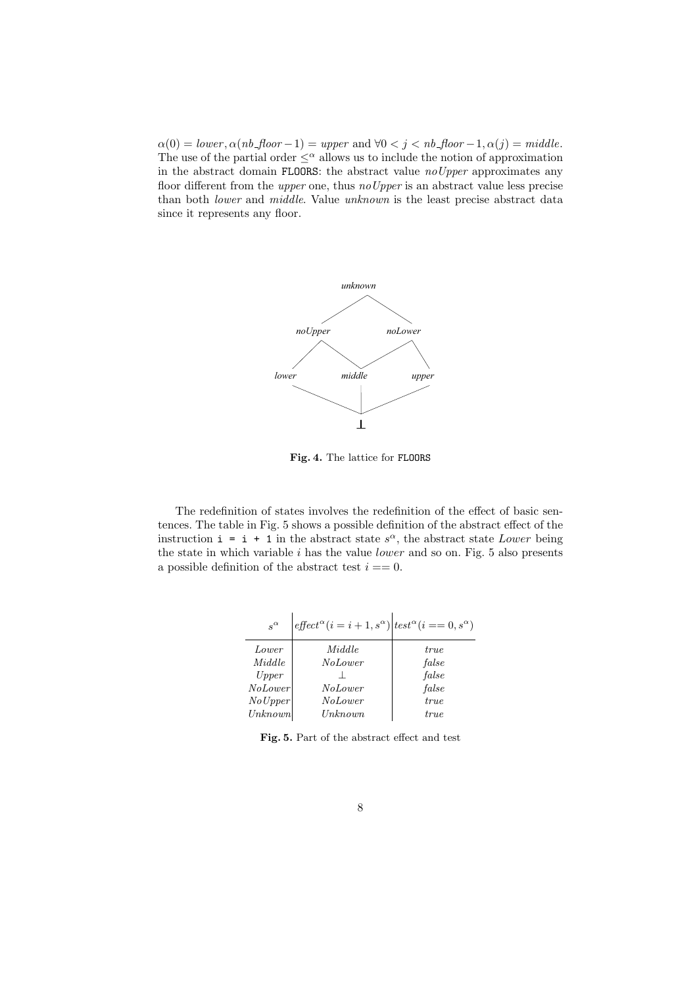$\alpha(0) = lower, \alpha(nb\_floor - 1) = upper \text{ and } \forall 0 < j < nb\_floor - 1, \alpha(j) = middle.$ The use of the partial order  $\leq^{\alpha}$  allows us to include the notion of approximation in the abstract domain FLOORS: the abstract value *noUpper* approximates any floor different from the *upper* one, thus *noUpper* is an abstract value less precise than both *lower* and *middle*. Value *unknown* is the least precise abstract data since it represents any floor.



**Fig. 4.** The lattice for FLOORS

The redefinition of states involves the redefinition of the effect of basic sentences. The table in Fig. 5 shows a possible definition of the abstract effect of the instruction  $i = i + 1$  in the abstract state  $s^{\alpha}$ , the abstract state Lower being the state in which variable  $i$  has the value *lower* and so on. Fig. 5 also presents a possible definition of the abstract test  $i == 0$ .

| $s^{\alpha}$   | $effect^{\alpha}(i=i+1,s^{\alpha}) test^{\alpha}(i == 0,s^{\alpha})$ |             |
|----------------|----------------------------------------------------------------------|-------------|
| Lower          | Middle                                                               | true        |
| Middle         | <i>NoLower</i>                                                       | false       |
| Upper          |                                                                      | false       |
| <i>NoLower</i> | <i>NoLower</i>                                                       | false       |
| No Upper       | <b>NoLower</b>                                                       | true        |
| Unknown        | Unknown                                                              | <i>true</i> |

**Fig. 5.** Part of the abstract effect and test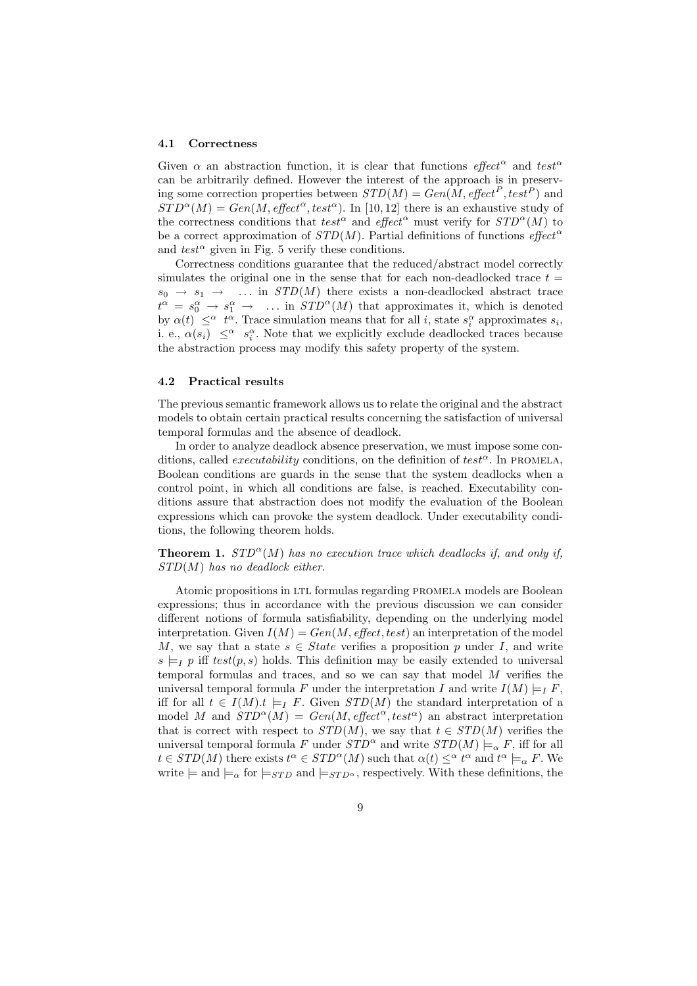#### **4.1 Correctness**

Given  $\alpha$  an abstraction function, it is clear that functions *effect*<sup> $\alpha$ </sup> and test<sup> $\alpha$ </sup> can be arbitrarily defined. However the interest of the approach is in preserving some correction properties between  $STD(M) = Gen(M, effect^P, test^P)$  and  $STD^{\alpha}(M) = Gen(M, effect^{\alpha}, test^{\alpha}).$  In [10, 12] there is an exhaustive study of the correctness conditions that test<sup>α</sup> and effect<sup>α</sup> must verify for  $STD^{\alpha}(M)$  to be a correct approximation of  $STD(M)$ . Partial definitions of functions *effect*<sup> $\alpha$ </sup> and  $test^{\alpha}$  given in Fig. 5 verify these conditions.

Correctness conditions guarantee that the reduced/abstract model correctly simulates the original one in the sense that for each non-deadlocked trace  $t =$  $s_0 \rightarrow s_1 \rightarrow \dots$  in  $STD(M)$  there exists a non-deadlocked abstract trace  $t^{\alpha} = s_0^{\alpha} \rightarrow s_1^{\alpha} \rightarrow \dots$  in  $STD^{\alpha}(M)$  that approximates it, which is denoted by  $\alpha(t) \leq^{\alpha} t^{\alpha}$ . Trace simulation means that for all *i*, state  $s_i^{\alpha}$  approximates  $s_i$ , i. e.,  $\alpha(s_i) \leq \alpha$   $s_i^{\alpha}$ . Note that we explicitly exclude deadlocked traces because the abstraction process may modify this safety property of the system.

### **4.2 Practical results**

The previous semantic framework allows us to relate the original and the abstract models to obtain certain practical results concerning the satisfaction of universal temporal formulas and the absence of deadlock.

In order to analyze deadlock absence preservation, we must impose some conditions, called *executability* conditions, on the definition of test<sup> $\alpha$ </sup>. In PROMELA, Boolean conditions are guards in the sense that the system deadlocks when a control point, in which all conditions are false, is reached. Executability conditions assure that abstraction does not modify the evaluation of the Boolean expressions which can provoke the system deadlock. Under executability conditions, the following theorem holds.

# **Theorem 1.**  $STD^{\alpha}(M)$  has no execution trace which deadlocks if, and only if, *STD*(M) *has no deadlock either.*

Atomic propositions in LTL formulas regarding PROMELA models are Boolean expressions; thus in accordance with the previous discussion we can consider different notions of formula satisfiability, depending on the underlying model interpretation. Given  $I(M) = Gen(M, effect, test)$  an interpretation of the model M, we say that a state  $s \in State$  verifies a proposition p under I, and write  $s \models_I p$  iff  $test(p, s)$  holds. This definition may be easily extended to universal temporal formulas and traces, and so we can say that model M verifies the universal temporal formula F under the interpretation I and write  $I(M) \models_I F$ , iff for all  $t \in I(M).t \models$  F. Given  $STD(M)$  the standard interpretation of a model M and  $STD^{\alpha}(M) = Gen(M, effect^{\alpha}, test^{\alpha})$  an abstract interpretation that is correct with respect to  $STD(M)$ , we say that  $t \in STD(M)$  verifies the universal temporal formula F under  $STD^{\alpha}$  and write  $STD(M) \models_{\alpha} F$ , iff for all  $t \in STD(M)$  there exists  $t^{\alpha} \in STD^{\alpha}(M)$  such that  $\alpha(t) \leq^{\alpha} t^{\alpha}$  and  $t^{\alpha} \models_{\alpha} F$ . We write  $\models$  and  $\models_{\alpha}$  for  $\models_{STD}$  and  $\models_{STD^{\alpha}}$ , respectively. With these definitions, the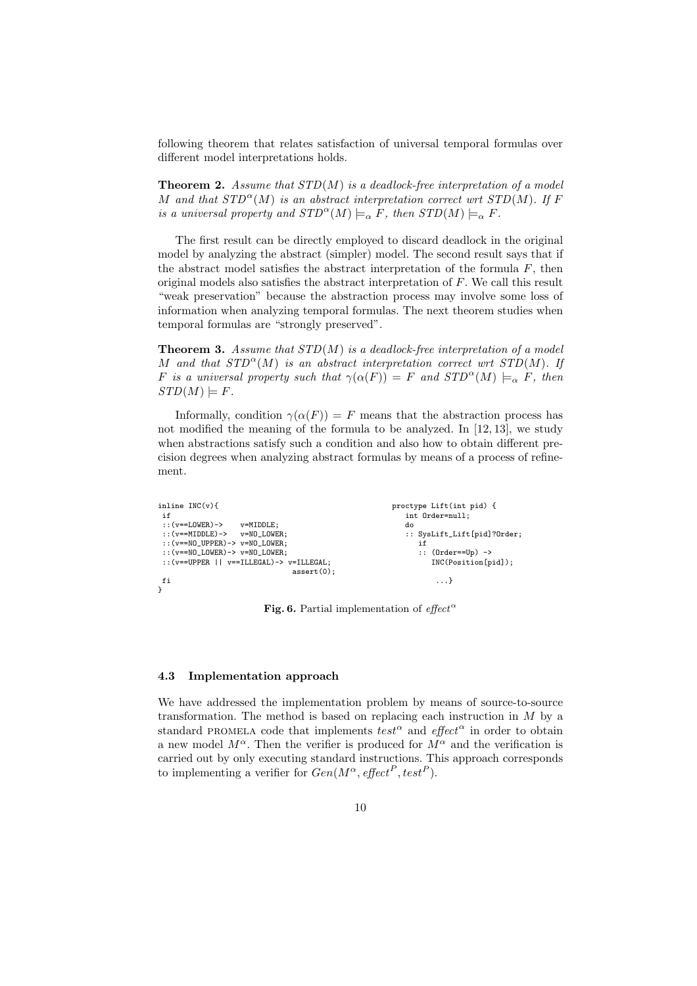following theorem that relates satisfaction of universal temporal formulas over different model interpretations holds.

**Theorem2.** *Assume that STD*(M) *is a deadlock-free interpretation of a model* M and that  $STD^{\alpha}(M)$  is an abstract interpretation correct wrt  $STD(M)$ . If F *is a universal property and*  $STD^{\alpha}(M) \models_{\alpha} F$ *, then*  $STD(M) \models_{\alpha} F$ *.* 

The first result can be directly employed to discard deadlock in the original model by analyzing the abstract (simpler) model. The second result says that if the abstract model satisfies the abstract interpretation of the formula  $F$ , then original models also satisfies the abstract interpretation of F. We call this result "weak preservation" because the abstraction process may involve some loss of information when analyzing temporal formulas. The next theorem studies when temporal formulas are "strongly preserved".

**Theorem3.** *Assume that STD*(M) *is a deadlock-free interpretation of a model* M and that  $STD^{\alpha}(M)$  is an abstract interpretation correct wrt  $STD(M)$ . If F is a universal property such that  $\gamma(\alpha(F)) = F$  and  $STD^{\alpha}(M) \models_{\alpha} F$ , then  $STD(M) \models F$ .

Informally, condition  $\gamma(\alpha(F)) = F$  means that the abstraction process has not modified the meaning of the formula to be analyzed. In [12, 13], we study when abstractions satisfy such a condition and also how to obtain different precision degrees when analyzing abstract formulas by means of a process of refinement.

| inline $INC(v)$                                            | proctype Lift(int pid) {    |
|------------------------------------------------------------|-----------------------------|
| if                                                         | int Order=null;             |
| :: $(v == LOWER) ->$<br>v=MIDDLE:                          | do                          |
| $: (v = MIDDLE) \rightarrow v = NO LOWER$                  | :: SysLift_Lift[pid]?Order; |
| $::$ $(v == N0$ UPPER $) \rightarrow v = N0$ LOWER:        | if                          |
| $::(v == NO_LOWER) -> v = NO_LOWER;$                       | $\therefore$ (Order==Up) -> |
| $::$ ( $v$ = = UPPER    $v$ = = ILLEGAL) -> $v$ = ILLEGAL; | INC(Position[pid]);         |
| $assert(0)$ :                                              |                             |
| fi                                                         | $\dots$                     |
|                                                            |                             |

**Fig. 6.** Partial implementation of  $effect^{\alpha}$ 

#### **4.3 Implementation approach**

We have addressed the implementation problem by means of source-to-source transformation. The method is based on replacing each instruction in M by a standard PROMELA code that implements  $test^{\alpha}$  and  $effect^{\alpha}$  in order to obtain a new model  $M^{\alpha}$ . Then the verifier is produced for  $M^{\alpha}$  and the verification is carried out by only executing standard instructions. This approach corresponds to implementing a verifier for  $Gen(M^{\alpha}, effect^P, test^P).$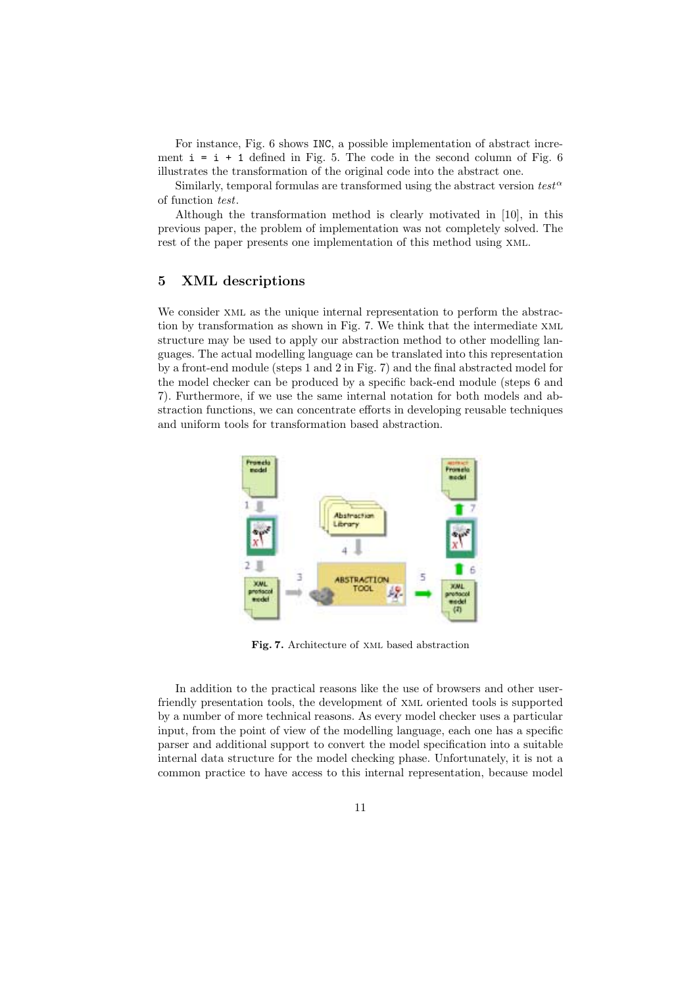For instance, Fig. 6 shows INC, a possible implementation of abstract increment  $i=i+1$  defined in Fig. 5. The code in the second column of Fig. 6 illustrates the transformation of the original code into the abstract one.

Similarly, temporal formulas are transformed using the abstract version  $test^{\alpha}$ of function *test*.

Although the transformation method is clearly motivated in [10], in this previous paper, the problem of implementation was not completely solved. The rest of the paper presents one implementation of this method using xml.

# **5 XML descriptions**

We consider xml as the unique internal representation to perform the abstraction by transformation as shown in Fig. 7. We think that the intermediate xml structure may be used to apply our abstraction method to other modelling languages. The actual modelling language can be translated into this representation by a front-end module (steps 1 and 2 in Fig. 7) and the final abstracted model for the model checker can be produced by a specific back-end module (steps 6 and 7). Furthermore, if we use the same internal notation for both models and abstraction functions, we can concentrate efforts in developing reusable techniques and uniform tools for transformation based abstraction.



**Fig. 7.** Architecture of xml based abstraction

In addition to the practical reasons like the use of browsers and other userfriendly presentation tools, the development of xml oriented tools is supported by a number of more technical reasons. As every model checker uses a particular input, from the point of view of the modelling language, each one has a specific parser and additional support to convert the model specification into a suitable internal data structure for the model checking phase. Unfortunately, it is not a common practice to have access to this internal representation, because model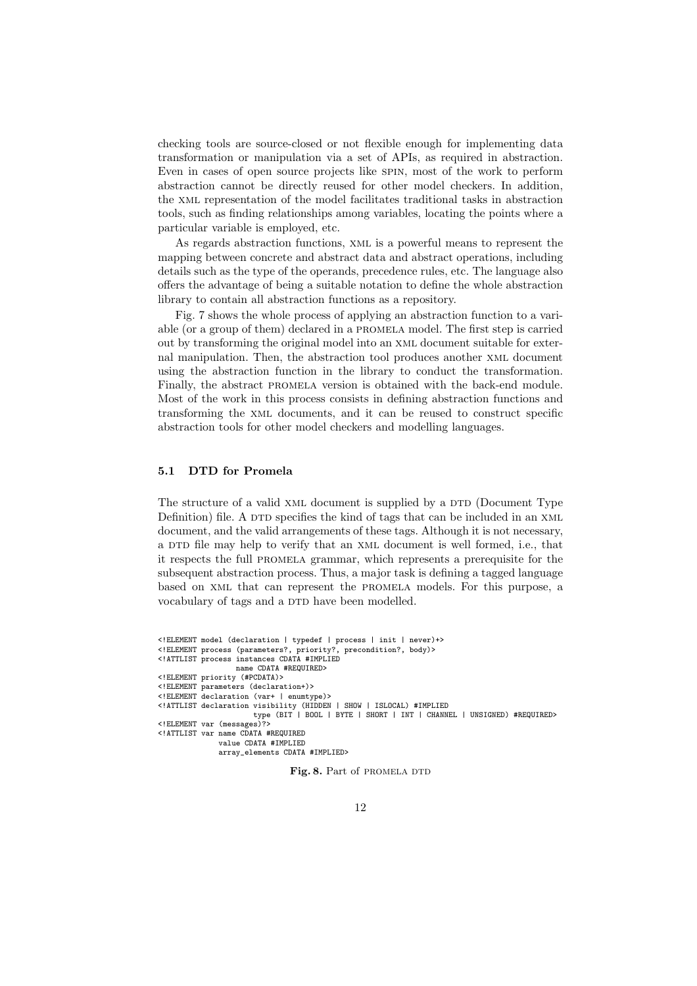checking tools are source-closed or not flexible enough for implementing data transformation or manipulation via a set of APIs, as required in abstraction. Even in cases of open source projects like spin, most of the work to perform abstraction cannot be directly reused for other model checkers. In addition, the xml representation of the model facilitates traditional tasks in abstraction tools, such as finding relationships among variables, locating the points where a particular variable is employed, etc.

As regards abstraction functions, xml is a powerful means to represent the mapping between concrete and abstract data and abstract operations, including details such as the type of the operands, precedence rules, etc. The language also offers the advantage of being a suitable notation to define the whole abstraction library to contain all abstraction functions as a repository.

Fig. 7 shows the whole process of applying an abstraction function to a variable (or a group of them) declared in a promela model. The first step is carried out by transforming the original model into an xml document suitable for external manipulation. Then, the abstraction tool produces another xml document using the abstraction function in the library to conduct the transformation. Finally, the abstract promela version is obtained with the back-end module. Most of the work in this process consists in defining abstraction functions and transforming the xml documents, and it can be reused to construct specific abstraction tools for other model checkers and modelling languages.

# **5.1 DTD for Promela**

The structure of a valid XML document is supplied by a DTD (Document Type Definition) file. A DTD specifies the kind of tags that can be included in an XML document, and the valid arrangements of these tags. Although it is not necessary, a DTD file may help to verify that an XML document is well formed, i.e., that it respects the full promela grammar, which represents a prerequisite for the subsequent abstraction process. Thus, a major task is defining a tagged language based on xml that can represent the promela models. For this purpose, a vocabulary of tags and a DTD have been modelled.

```
<!ELEMENT model (declaration | typedef | process | init | never)+>
<!ELEMENT process (parameters?, priority?, precondition?, body)>
<!ATTLIST process instances CDATA #IMPLIED
                  name CDATA #REQUIRED>
<!ELEMENT priority (#PCDATA)>
<!ELEMENT parameters (declaration+)>
<!ELEMENT declaration (var+| enumtype)>
<!ATTLIST declaration visibility (HIDDEN | SHOW | ISLOCAL) #IMPLIED
                       type (BIT | BOOL | BYTE | SHORT | INT | CHANNEL | UNSIGNED) #REQUIRED>
<!ELEMENT var (messages)?>
<!ATTLIST var name CDATA #REQUIRED
               value CDATA #IMPLIED
               array_elements CDATA #IMPLIED>
```
Fig. 8. Part of PROMELA DTD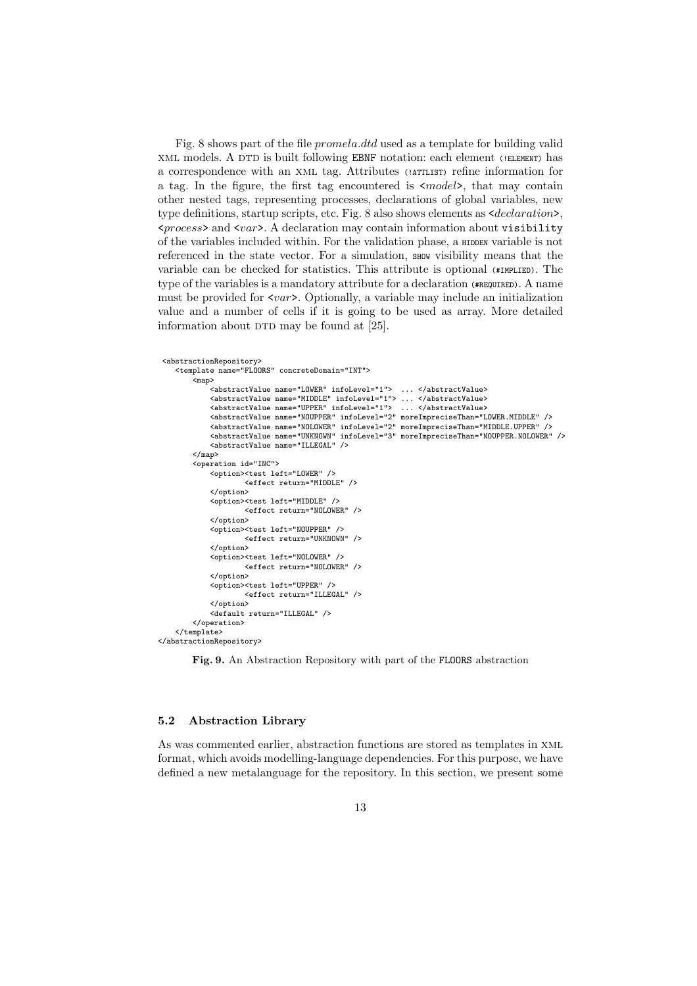Fig. 8 shows part of the file promela.dtd used as a template for building valid XML models. A DTD is built following EBNF notation: each element (!ELEMENT) has a correspondence with an xml tag. Attributes (!ATTLIST) refine information for a tag. In the figure, the first tag encountered is  $\langle model \rangle$ , that may contain other nested tags, representing processes, declarations of global variables, new type definitions, startup scripts, etc. Fig. 8 also shows elements as  $\leq$  declaration>,  $<$ process> and  $<$ var>. A declaration may contain information about visibility of the variables included within. For the validation phase, a HIDDEN variable is not referenced in the state vector. For a simulation, show visibility means that the variable can be checked for statistics. This attribute is optional (#IMPLIED). The type of the variables is a mandatory attribute for a declaration (#REQUIRED). A name must be provided for  $\langle var \rangle$ . Optionally, a variable may include an initialization value and a number of cells if it is going to be used as array. More detailed information about  $DTD$  may be found at  $[25]$ .

```
<abstractionRepository>
    <template name="FLOORS" concreteDomain="INT">
         .<br><map>
               <abstractValue name="LOWER" infoLevel="1"> ... </abstractValue>
<abstractValue name="MIDDLE" infoLevel="1"> ... </abstractValue>
               <abstractValue name="UPPER" infoLevel="1"> ... </abstractValue>
<abstractValue name="NOUPPER" infoLevel="2" moreImpreciseThan="LOWER.MIDDLE" />
              <abstractValue name="NOLOWER" infoLevel="2" moreImpreciseThan="MIDDLE.UPPER" />
               <abstractValue name="UNKNOWN" infoLevel="3" moreImpreciseThan="NOUPPER.NOLOWER" />
<abstractValue name="ILLEGAL" />
         </map>
         <operation id="INC">
              <option><test left="LOWER" />
                        <effect return="MIDDLE" />
              </option>
              <option><test left="MIDDLE" />
                        <effect return="NOLOWER" />
              </option>
              <option><test left="NOUPPER" />
                        \leqeffect return="UNKNOWN"
              </option>
              <option><test left="NOLOWER" />
                        <effect return="NOLOWER" />
              </option>
              <option><test left="UPPER" />
                        <effect return="ILLEGAL" />
              </option>
              <default return="ILLEGAL" />
         </operation>
    </template>
</abstractionRepository>
```
**Fig. 9.** An Abstraction Repository with part of the FLOORS abstraction

#### **5.2 Abstraction Library**

As was commented earlier, abstraction functions are stored as templates in xml format, which avoids modelling-language dependencies. For this purpose, we have defined a new metalanguage for the repository. In this section, we present some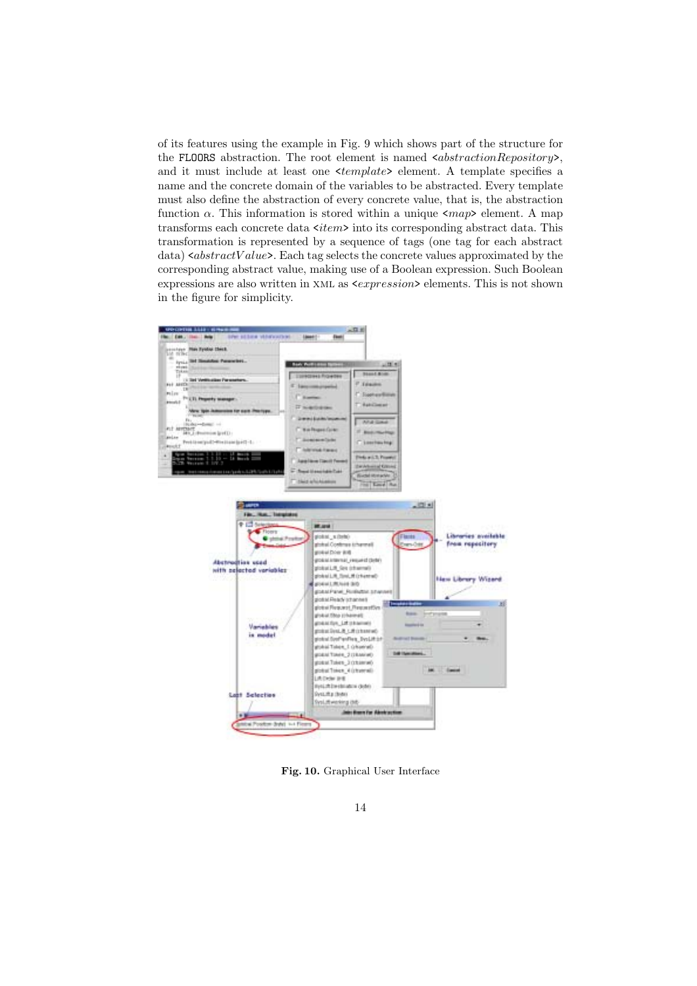of its features using the example in Fig. 9 which shows part of the structure for the FLOORS abstraction. The root element is named  $\leq abstractionRepository$ , and it must include at least one  $\langle template \rangle$  element. A template specifies a name and the concrete domain of the variables to be abstracted. Every template must also define the abstraction of every concrete value, that is, the abstraction function  $\alpha$ . This information is stored within a unique  $\langle map \rangle$  element. A map transforms each concrete data  $\langle item \rangle$  into its corresponding abstract data. This transformation is represented by a sequence of tags (one tag for each abstract data)  $\leq abstractValue$ . Each tag selects the concrete values approximated by the corresponding abstract value, making use of a Boolean expression. Such Boolean expressions are also written in XML as  $\langle expression \rangle$  elements. This is not shown in the figure for simplicity.



**Fig. 10.** Graphical User Interface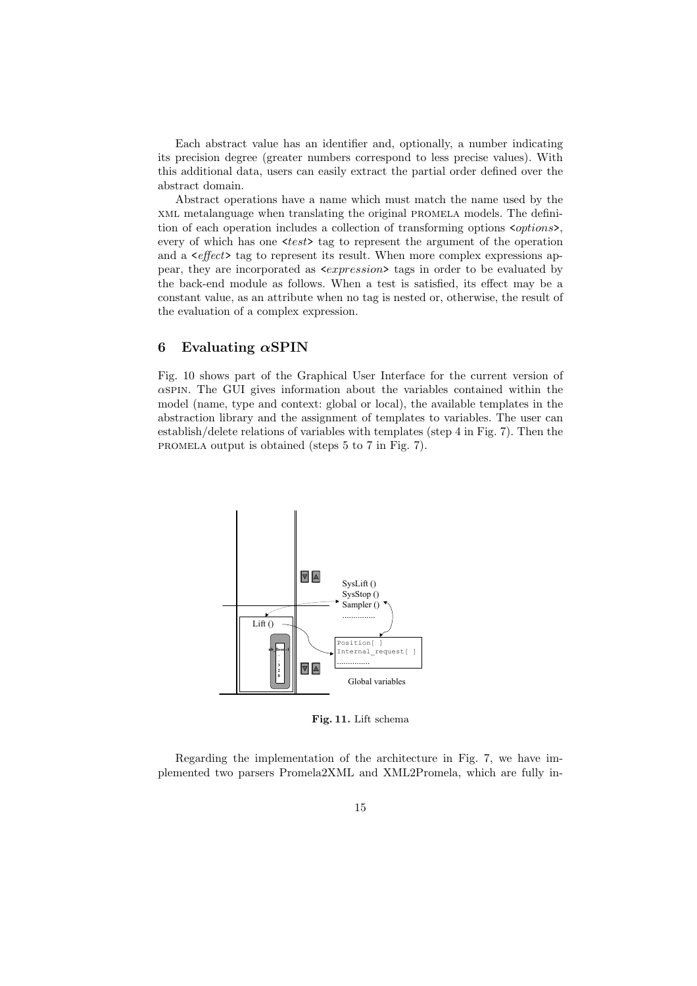Each abstract value has an identifier and, optionally, a number indicating its precision degree (greater numbers correspond to less precise values). With this additional data, users can easily extract the partial order defined over the abstract domain.

Abstract operations have a name which must match the name used by the xml metalanguage when translating the original promela models. The definition of each operation includes a collection of transforming options <options>, every of which has one  $\langle test \rangle$  tag to represent the argument of the operation and a <*effect*> tag to represent its result. When more complex expressions appear, they are incorporated as <expression> tags in order to be evaluated by the back-end module as follows. When a test is satisfied, its effect may be a constant value, as an attribute when no tag is nested or, otherwise, the result of the evaluation of a complex expression.

### **6 Evaluating** *α***SPIN**

Fig. 10 shows part of the Graphical User Interface for the current version of  $\alpha$ SPIN. The GUI gives information about the variables contained within the model (name, type and context: global or local), the available templates in the abstraction library and the assignment of templates to variables. The user can establish/delete relations of variables with templates (step 4 in Fig. 7). Then the promela output is obtained (steps 5 to 7 in Fig. 7).



**Fig. 11.** Lift schema

Regarding the implementation of the architecture in Fig. 7, we have implemented two parsers Promela2XML and XML2Promela, which are fully in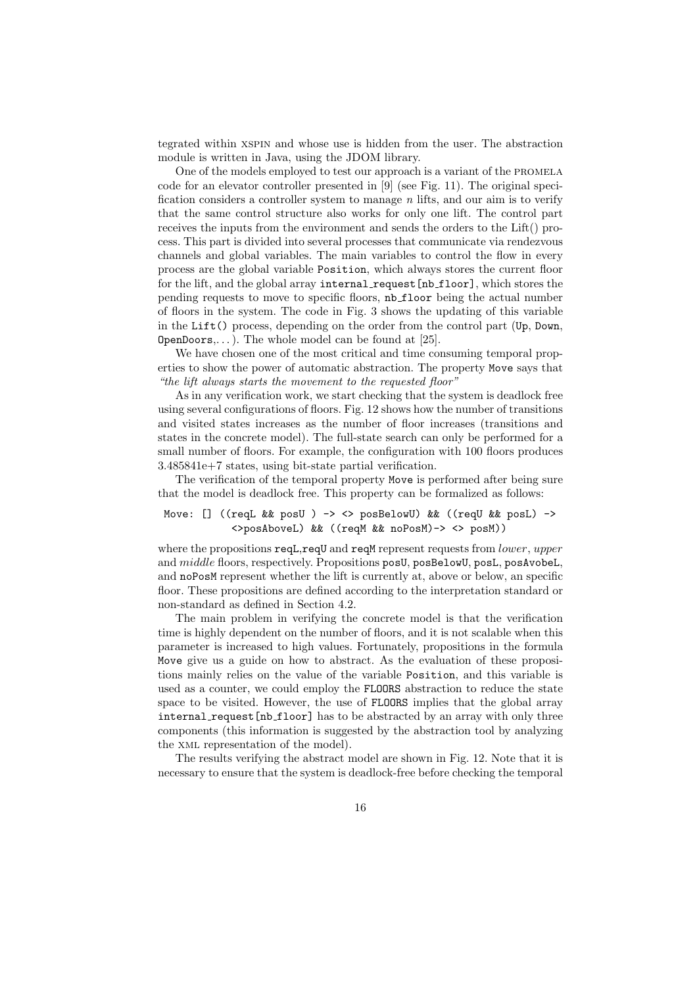tegrated within xspin and whose use is hidden from the user. The abstraction module is written in Java, using the JDOM library.

One of the models employed to test our approach is a variant of the PROMELA code for an elevator controller presented in [9](see Fig. 11). The original specification considers a controller system to manage *n* lifts, and our aim is to verify that the same control structure also works for only one lift. The control part receives the inputs from the environment and sends the orders to the Lift() process. This part is divided into several processes that communicate via rendezvous channels and global variables. The main variables to control the flow in every process are the global variable Position, which always stores the current floor for the lift, and the global array internal request [nb\_floor], which stores the pending requests to move to specific floors, nb floor being the actual number of floors in the system. The code in Fig. 3 shows the updating of this variable in the Lift() process, depending on the order from the control part (Up, Down, **OpenDoors,...).** The whole model can be found at [25].

We have chosen one of the most critical and time consuming temporal properties to show the power of automatic abstraction. The property Move says that *"the lift always starts the movement to the requested floor"*

As in any verification work, we start checking that the system is deadlock free using several configurations of floors. Fig. 12 shows how the number of transitions and visited states increases as the number of floor increases (transitions and states in the concrete model). The full-state search can only be performed for a small number of floors. For example, the configuration with 100 floors produces 3.485841e+7 states, using bit-state partial verification.

The verification of the temporal property Move is performed after being sure that the model is deadlock free. This property can be formalized as follows:

# Move: [] ((reqL && posU ) -> <> posBelowU) && ((reqU && posL) -> <>posAboveL) && ((reqM && noPosM)-> <> posM))

where the propositions reqL,reqU and reqM represent requests from *lower*, *upper* and middle floors, respectively. Propositions posU, posBelowU, posL, posAvobeL, and noPosM represent whether the lift is currently at, above or below, an specific floor. These propositions are defined according to the interpretation standard or non-standard as defined in Section 4.2.

The main problem in verifying the concrete model is that the verification time is highly dependent on the number of floors, and it is not scalable when this parameter is increased to high values. Fortunately, propositions in the formula Move give us a guide on how to abstract. As the evaluation of these propositions mainly relies on the value of the variable Position, and this variable is used as a counter, we could employ the FLOORS abstraction to reduce the state space to be visited. However, the use of FLOORS implies that the global array internal request [nb floor] has to be abstracted by an array with only three components (this information is suggested by the abstraction tool by analyzing the xml representation of the model).

The results verifying the abstract model are shown in Fig. 12. Note that it is necessary to ensure that the system is deadlock-free before checking the temporal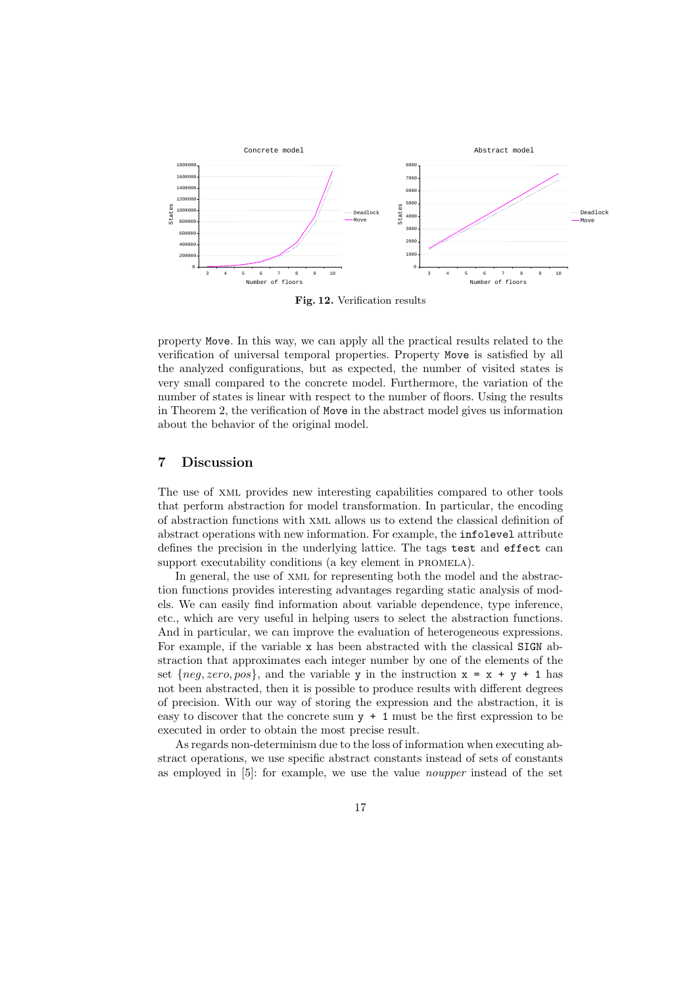

**Fig. 12.** Verification results

property Move. In this way, we can apply all the practical results related to the verification of universal temporal properties. Property Move is satisfied by all the analyzed configurations, but as expected, the number of visited states is very small compared to the concrete model. Furthermore, the variation of the number of states is linear with respect to the number of floors. Using the results in Theorem 2, the verification of Move in the abstract model gives us information about the behavior of the original model.

# **7 Discussion**

The use of xml provides new interesting capabilities compared to other tools that perform abstraction for model transformation. In particular, the encoding of abstraction functions with xml allows us to extend the classical definition of abstract operations with new information. For example, the infolevel attribute defines the precision in the underlying lattice. The tags test and effect can support executability conditions (a key element in PROMELA).

In general, the use of xml for representing both the model and the abstraction functions provides interesting advantages regarding static analysis of models. We can easily find information about variable dependence, type inference, etc., which are very useful in helping users to select the abstraction functions. And in particular, we can improve the evaluation of heterogeneous expressions. For example, if the variable x has been abstracted with the classical SIGN abstraction that approximates each integer number by one of the elements of the set  $\{neg, zero, pos\}$ , and the variable y in the instruction  $x = x + y + 1$  has not been abstracted, then it is possible to produce results with different degrees of precision. With our way of storing the expression and the abstraction, it is easy to discover that the concrete sum  $y + 1$  must be the first expression to be executed in order to obtain the most precise result.

As regards non-determinism due to the loss of information when executing abstract operations, we use specific abstract constants instead of sets of constants as employed in [5]: for example, we use the value *noupper* instead of the set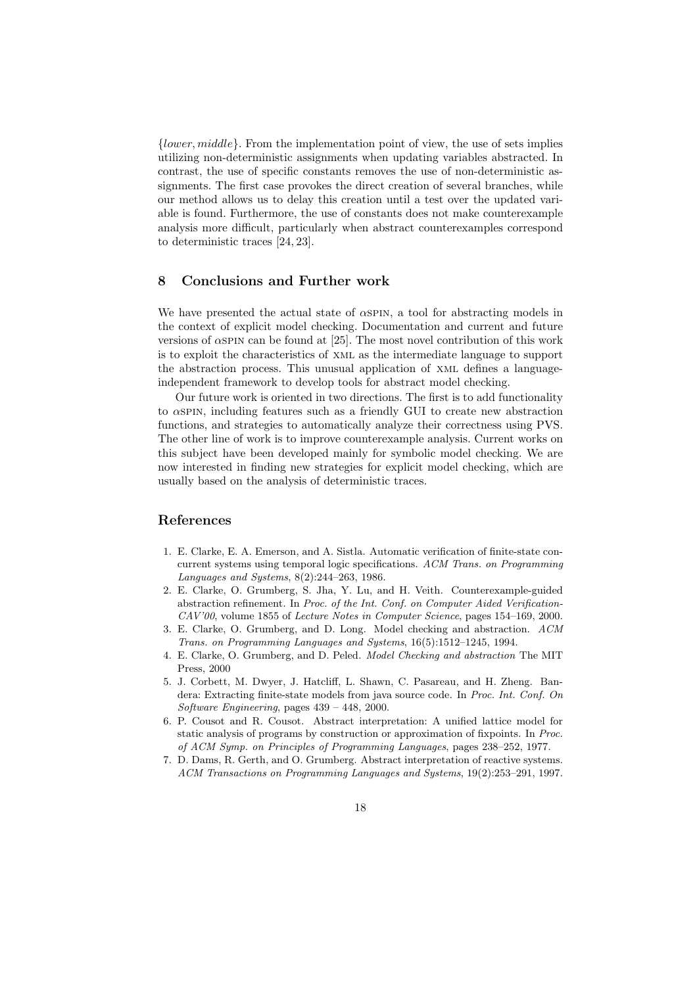{lower, middle}. From the implementation point of view, the use of sets implies utilizing non-deterministic assignments when updating variables abstracted. In contrast, the use of specific constants removes the use of non-deterministic assignments. The first case provokes the direct creation of several branches, while our method allows us to delay this creation until a test over the updated variable is found. Furthermore, the use of constants does not make counterexample analysis more difficult, particularly when abstract counterexamples correspond to deterministic traces [24, 23].

# **8 Conclusions and Further work**

We have presented the actual state of  $\alpha$ SPIN, a tool for abstracting models in the context of explicit model checking. Documentation and current and future versions of  $\alpha$ SPIN can be found at [25]. The most novel contribution of this work is to exploit the characteristics of xml as the intermediate language to support the abstraction process. This unusual application of xml defines a languageindependent framework to develop tools for abstract model checking.

Our future work is oriented in two directions. The first is to add functionality to αspin, including features such as a friendly GUI to create new abstraction functions, and strategies to automatically analyze their correctness using PVS. The other line of work is to improve counterexample analysis. Current works on this subject have been developed mainly for symbolic model checking. We are now interested in finding new strategies for explicit model checking, which are usually based on the analysis of deterministic traces.

# **References**

- 1. E. Clarke, E. A. Emerson, and A. Sistla. Automatic verification of finite-state concurrent systems using temporal logic specifications. ACM Trans. on Programming Languages and Systems, 8(2):244–263, 1986.
- 2. E. Clarke, O. Grumberg, S. Jha, Y. Lu, and H. Veith. Counterexample-guided abstraction refinement. In Proc. of the Int. Conf. on Computer Aided Verification-CAV'00, volume 1855 of Lecture Notes in Computer Science, pages 154–169, 2000.
- 3. E. Clarke, O. Grumberg, and D. Long. Model checking and abstraction. ACM Trans. on Programming Languages and Systems, 16(5):1512–1245, 1994.
- 4. E. Clarke, O. Grumberg, and D. Peled. Model Checking and abstraction The MIT Press, 2000
- 5. J. Corbett, M. Dwyer, J. Hatcliff, L. Shawn, C. Pasareau, and H. Zheng. Bandera: Extracting finite-state models from java source code. In Proc. Int. Conf. On Software Engineering, pages 439 – 448, 2000.
- 6. P. Cousot and R. Cousot. Abstract interpretation: A unified lattice model for static analysis of programs by construction or approximation of fixpoints. In Proc. of ACM Symp. on Principles of Programming Languages, pages 238–252, 1977.
- 7. D. Dams, R. Gerth, and O. Grumberg. Abstract interpretation of reactive systems. ACM Transactions on Programming Languages and Systems, 19(2):253–291, 1997.